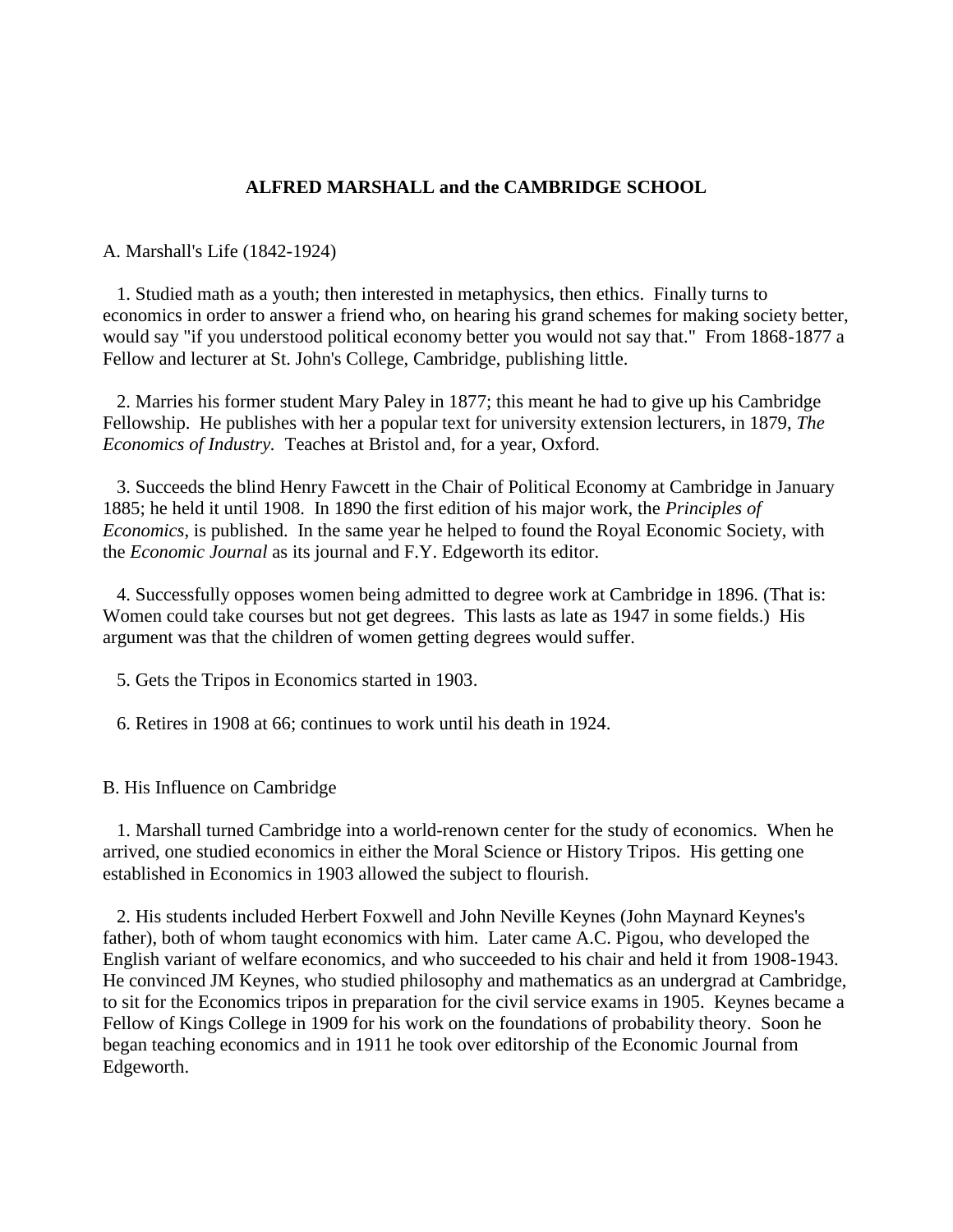## **ALFRED MARSHALL and the CAMBRIDGE SCHOOL**

A. Marshall's Life (1842-1924)

 1. Studied math as a youth; then interested in metaphysics, then ethics. Finally turns to economics in order to answer a friend who, on hearing his grand schemes for making society better, would say "if you understood political economy better you would not say that." From 1868-1877 a Fellow and lecturer at St. John's College, Cambridge, publishing little.

 2. Marries his former student Mary Paley in 1877; this meant he had to give up his Cambridge Fellowship. He publishes with her a popular text for university extension lecturers, in 1879, *The Economics of Industry.* Teaches at Bristol and, for a year, Oxford.

 3. Succeeds the blind Henry Fawcett in the Chair of Political Economy at Cambridge in January 1885; he held it until 1908. In 1890 the first edition of his major work, the *Principles of Economics*, is published. In the same year he helped to found the Royal Economic Society, with the *Economic Journal* as its journal and F.Y. Edgeworth its editor.

 4. Successfully opposes women being admitted to degree work at Cambridge in 1896. (That is: Women could take courses but not get degrees. This lasts as late as 1947 in some fields.) His argument was that the children of women getting degrees would suffer.

5. Gets the Tripos in Economics started in 1903.

6. Retires in 1908 at 66; continues to work until his death in 1924.

B. His Influence on Cambridge

 1. Marshall turned Cambridge into a world-renown center for the study of economics. When he arrived, one studied economics in either the Moral Science or History Tripos. His getting one established in Economics in 1903 allowed the subject to flourish.

 2. His students included Herbert Foxwell and John Neville Keynes (John Maynard Keynes's father), both of whom taught economics with him. Later came A.C. Pigou, who developed the English variant of welfare economics, and who succeeded to his chair and held it from 1908-1943. He convinced JM Keynes, who studied philosophy and mathematics as an undergrad at Cambridge, to sit for the Economics tripos in preparation for the civil service exams in 1905. Keynes became a Fellow of Kings College in 1909 for his work on the foundations of probability theory. Soon he began teaching economics and in 1911 he took over editorship of the Economic Journal from Edgeworth.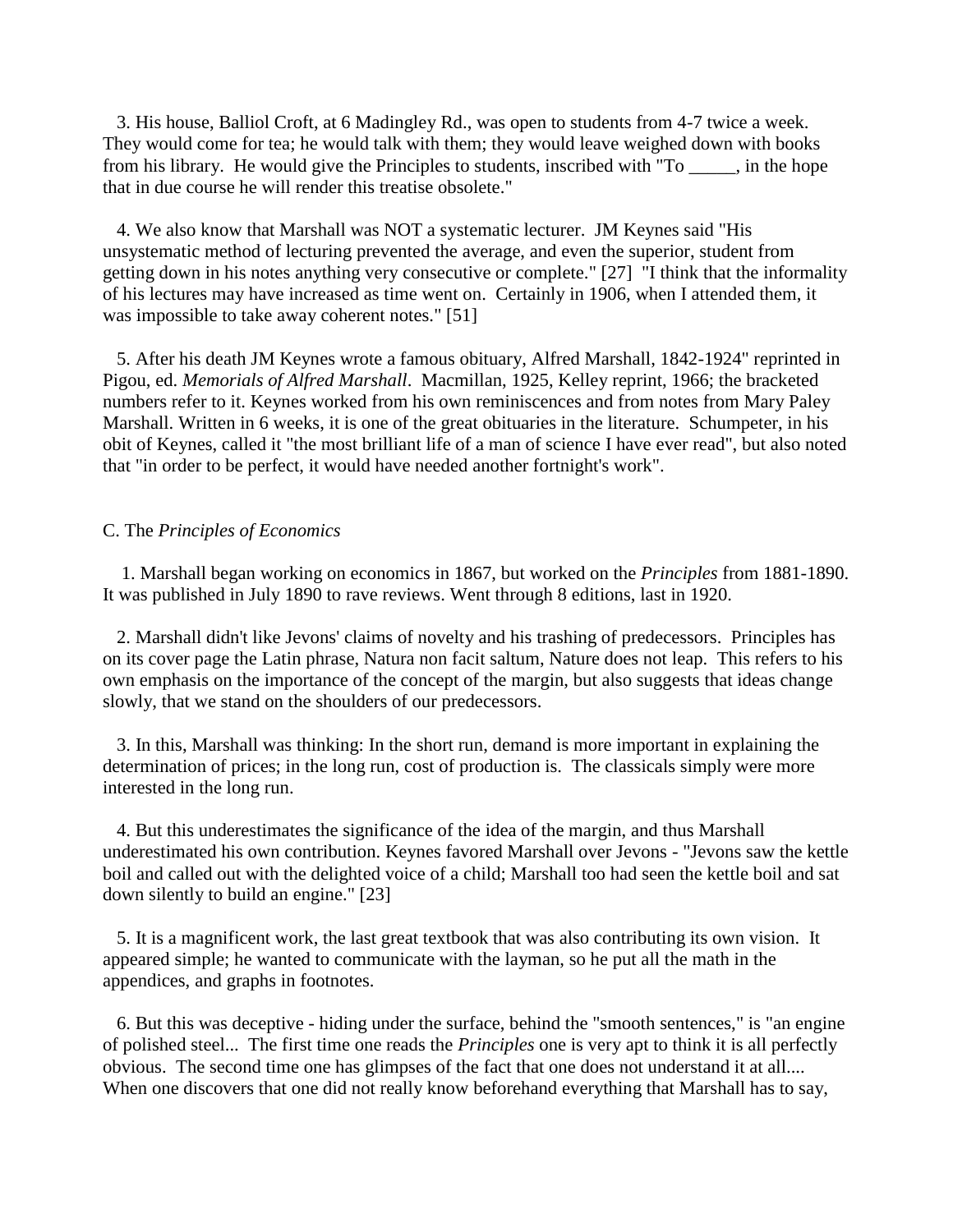3. His house, Balliol Croft, at 6 Madingley Rd., was open to students from 4-7 twice a week. They would come for tea; he would talk with them; they would leave weighed down with books from his library. He would give the Principles to students, inscribed with "To \_\_\_\_\_, in the hope that in due course he will render this treatise obsolete."

 4. We also know that Marshall was NOT a systematic lecturer. JM Keynes said "His unsystematic method of lecturing prevented the average, and even the superior, student from getting down in his notes anything very consecutive or complete." [27] "I think that the informality of his lectures may have increased as time went on. Certainly in 1906, when I attended them, it was impossible to take away coherent notes." [51]

 5. After his death JM Keynes wrote a famous obituary, Alfred Marshall, 1842-1924" reprinted in Pigou, ed. *Memorials of Alfred Marshall*. Macmillan, 1925, Kelley reprint, 1966; the bracketed numbers refer to it. Keynes worked from his own reminiscences and from notes from Mary Paley Marshall. Written in 6 weeks, it is one of the great obituaries in the literature. Schumpeter, in his obit of Keynes, called it "the most brilliant life of a man of science I have ever read", but also noted that "in order to be perfect, it would have needed another fortnight's work".

## C. The *Principles of Economics*

 1. Marshall began working on economics in 1867, but worked on the *Principles* from 1881-1890. It was published in July 1890 to rave reviews. Went through 8 editions, last in 1920.

 2. Marshall didn't like Jevons' claims of novelty and his trashing of predecessors. Principles has on its cover page the Latin phrase, Natura non facit saltum, Nature does not leap. This refers to his own emphasis on the importance of the concept of the margin, but also suggests that ideas change slowly, that we stand on the shoulders of our predecessors.

 3. In this, Marshall was thinking: In the short run, demand is more important in explaining the determination of prices; in the long run, cost of production is. The classicals simply were more interested in the long run.

 4. But this underestimates the significance of the idea of the margin, and thus Marshall underestimated his own contribution. Keynes favored Marshall over Jevons - "Jevons saw the kettle boil and called out with the delighted voice of a child; Marshall too had seen the kettle boil and sat down silently to build an engine." [23]

 5. It is a magnificent work, the last great textbook that was also contributing its own vision. It appeared simple; he wanted to communicate with the layman, so he put all the math in the appendices, and graphs in footnotes.

 6. But this was deceptive - hiding under the surface, behind the "smooth sentences," is "an engine of polished steel... The first time one reads the *Principles* one is very apt to think it is all perfectly obvious. The second time one has glimpses of the fact that one does not understand it at all.... When one discovers that one did not really know beforehand everything that Marshall has to say,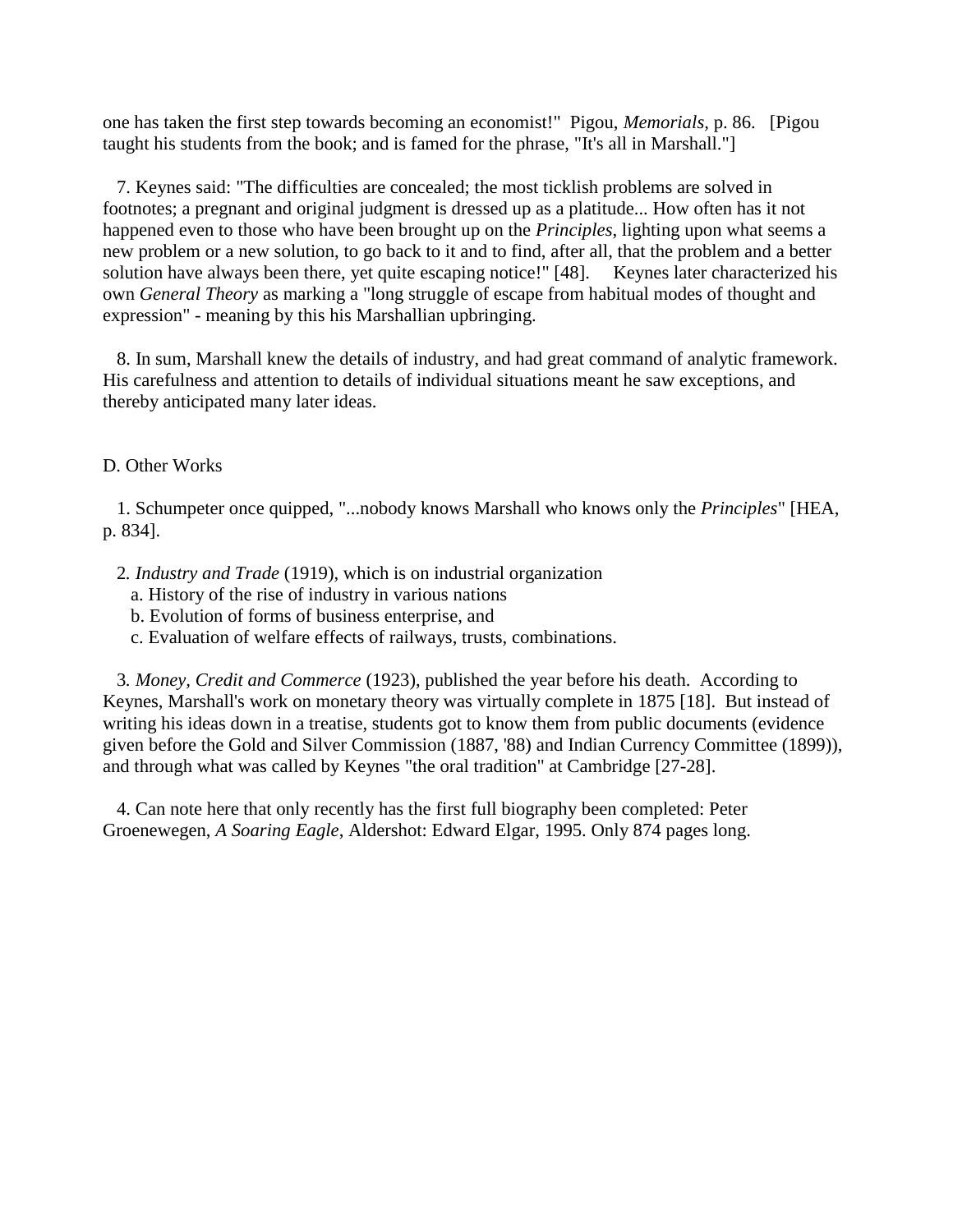one has taken the first step towards becoming an economist!" Pigou, *Memorials,* p. 86. [Pigou taught his students from the book; and is famed for the phrase, "It's all in Marshall."]

 7. Keynes said: "The difficulties are concealed; the most ticklish problems are solved in footnotes; a pregnant and original judgment is dressed up as a platitude... How often has it not happened even to those who have been brought up on the *Principles*, lighting upon what seems a new problem or a new solution, to go back to it and to find, after all, that the problem and a better solution have always been there, yet quite escaping notice!" [48]. Keynes later characterized his own *General Theory* as marking a "long struggle of escape from habitual modes of thought and expression" - meaning by this his Marshallian upbringing.

 8. In sum, Marshall knew the details of industry, and had great command of analytic framework. His carefulness and attention to details of individual situations meant he saw exceptions, and thereby anticipated many later ideas.

## D. Other Works

 1. Schumpeter once quipped, "...nobody knows Marshall who knows only the *Principles*" [HEA, p. 834].

- 2*. Industry and Trade* (1919), which is on industrial organization
	- a. History of the rise of industry in various nations
	- b. Evolution of forms of business enterprise, and
	- c. Evaluation of welfare effects of railways, trusts, combinations.

 3*. Money, Credit and Commerce* (1923), published the year before his death. According to Keynes, Marshall's work on monetary theory was virtually complete in 1875 [18]. But instead of writing his ideas down in a treatise, students got to know them from public documents (evidence given before the Gold and Silver Commission (1887, '88) and Indian Currency Committee (1899)), and through what was called by Keynes "the oral tradition" at Cambridge [27-28].

 4. Can note here that only recently has the first full biography been completed: Peter Groenewegen, *A Soaring Eagle*, Aldershot: Edward Elgar, 1995. Only 874 pages long.